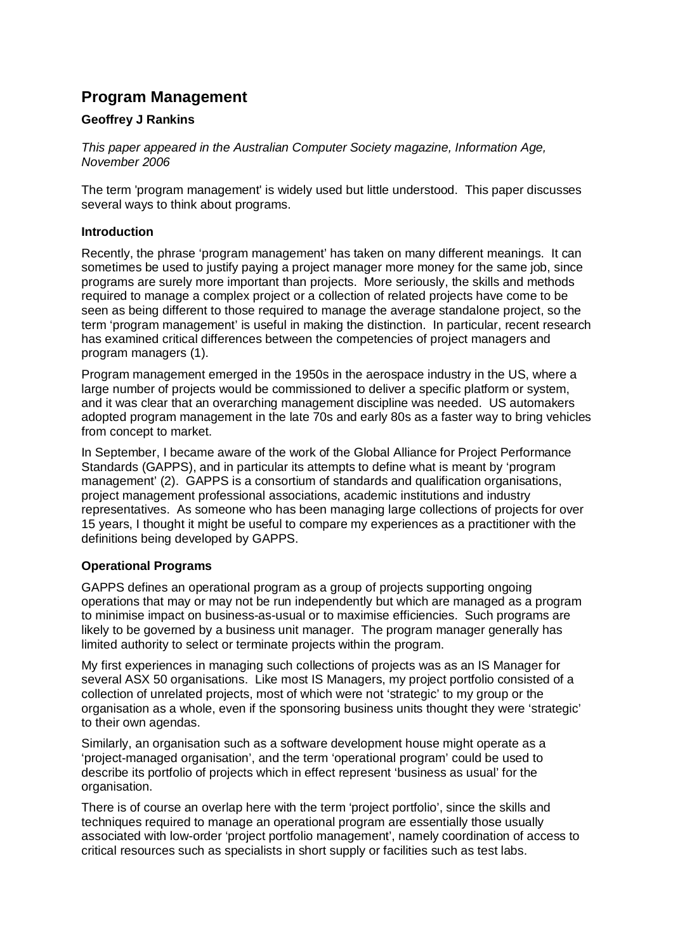# **Program Management**

# **Geoffrey J Rankins**

*This paper appeared in the Australian Computer Society magazine, Information Age, November 2006* 

The term 'program management' is widely used but little understood. This paper discusses several ways to think about programs.

## **Introduction**

Recently, the phrase 'program management' has taken on many different meanings. It can sometimes be used to justify paying a project manager more money for the same job, since programs are surely more important than projects. More seriously, the skills and methods required to manage a complex project or a collection of related projects have come to be seen as being different to those required to manage the average standalone project, so the term 'program management' is useful in making the distinction. In particular, recent research has examined critical differences between the competencies of project managers and program managers (1).

Program management emerged in the 1950s in the aerospace industry in the US, where a large number of projects would be commissioned to deliver a specific platform or system, and it was clear that an overarching management discipline was needed. US automakers adopted program management in the late 70s and early 80s as a faster way to bring vehicles from concept to market.

In September, I became aware of the work of the Global Alliance for Project Performance Standards (GAPPS), and in particular its attempts to define what is meant by 'program management' (2). GAPPS is a consortium of standards and qualification organisations, project management professional associations, academic institutions and industry representatives. As someone who has been managing large collections of projects for over 15 years, I thought it might be useful to compare my experiences as a practitioner with the definitions being developed by GAPPS.

## **Operational Programs**

GAPPS defines an operational program as a group of projects supporting ongoing operations that may or may not be run independently but which are managed as a program to minimise impact on business-as-usual or to maximise efficiencies. Such programs are likely to be governed by a business unit manager. The program manager generally has limited authority to select or terminate projects within the program.

My first experiences in managing such collections of projects was as an IS Manager for several ASX 50 organisations. Like most IS Managers, my project portfolio consisted of a collection of unrelated projects, most of which were not 'strategic' to my group or the organisation as a whole, even if the sponsoring business units thought they were 'strategic' to their own agendas.

Similarly, an organisation such as a software development house might operate as a 'project-managed organisation', and the term 'operational program' could be used to describe its portfolio of projects which in effect represent 'business as usual' for the organisation.

There is of course an overlap here with the term 'project portfolio', since the skills and techniques required to manage an operational program are essentially those usually associated with low-order 'project portfolio management', namely coordination of access to critical resources such as specialists in short supply or facilities such as test labs.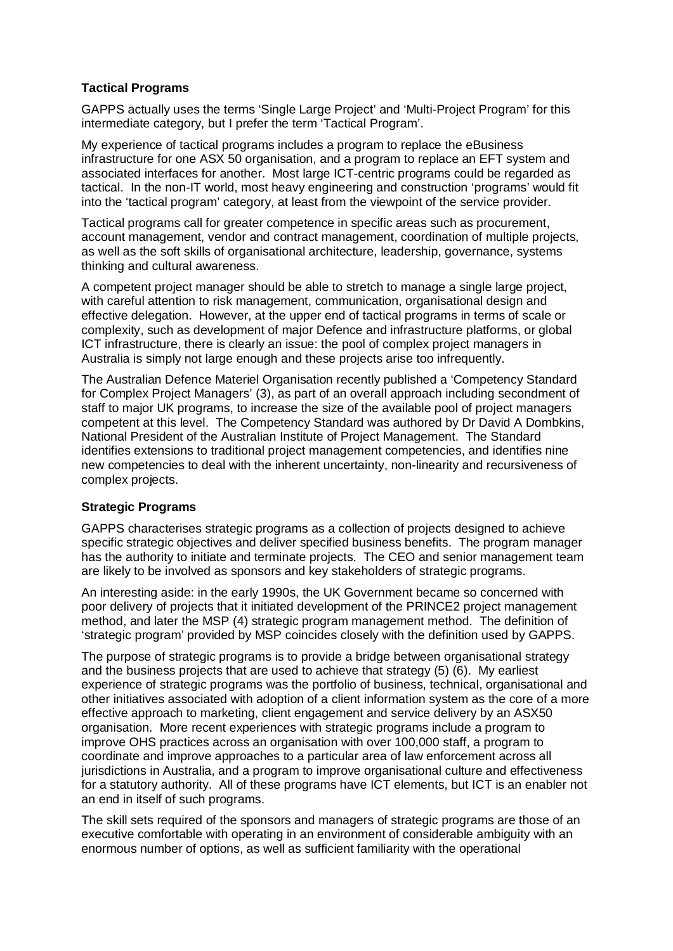# **Tactical Programs**

GAPPS actually uses the terms 'Single Large Project' and 'Multi-Project Program' for this intermediate category, but I prefer the term 'Tactical Program'.

My experience of tactical programs includes a program to replace the eBusiness infrastructure for one ASX 50 organisation, and a program to replace an EFT system and associated interfaces for another. Most large ICT-centric programs could be regarded as tactical. In the non-IT world, most heavy engineering and construction 'programs' would fit into the 'tactical program' category, at least from the viewpoint of the service provider.

Tactical programs call for greater competence in specific areas such as procurement, account management, vendor and contract management, coordination of multiple projects, as well as the soft skills of organisational architecture, leadership, governance, systems thinking and cultural awareness.

A competent project manager should be able to stretch to manage a single large project, with careful attention to risk management, communication, organisational design and effective delegation. However, at the upper end of tactical programs in terms of scale or complexity, such as development of major Defence and infrastructure platforms, or global ICT infrastructure, there is clearly an issue: the pool of complex project managers in Australia is simply not large enough and these projects arise too infrequently.

The Australian Defence Materiel Organisation recently published a 'Competency Standard for Complex Project Managers' (3), as part of an overall approach including secondment of staff to major UK programs, to increase the size of the available pool of project managers competent at this level. The Competency Standard was authored by Dr David A Dombkins, National President of the Australian Institute of Project Management. The Standard identifies extensions to traditional project management competencies, and identifies nine new competencies to deal with the inherent uncertainty, non-linearity and recursiveness of complex projects.

# **Strategic Programs**

GAPPS characterises strategic programs as a collection of projects designed to achieve specific strategic objectives and deliver specified business benefits. The program manager has the authority to initiate and terminate projects. The CEO and senior management team are likely to be involved as sponsors and key stakeholders of strategic programs.

An interesting aside: in the early 1990s, the UK Government became so concerned with poor delivery of projects that it initiated development of the PRINCE2 project management method, and later the MSP (4) strategic program management method. The definition of 'strategic program' provided by MSP coincides closely with the definition used by GAPPS.

The purpose of strategic programs is to provide a bridge between organisational strategy and the business projects that are used to achieve that strategy (5) (6). My earliest experience of strategic programs was the portfolio of business, technical, organisational and other initiatives associated with adoption of a client information system as the core of a more effective approach to marketing, client engagement and service delivery by an ASX50 organisation. More recent experiences with strategic programs include a program to improve OHS practices across an organisation with over 100,000 staff, a program to coordinate and improve approaches to a particular area of law enforcement across all jurisdictions in Australia, and a program to improve organisational culture and effectiveness for a statutory authority. All of these programs have ICT elements, but ICT is an enabler not an end in itself of such programs.

The skill sets required of the sponsors and managers of strategic programs are those of an executive comfortable with operating in an environment of considerable ambiguity with an enormous number of options, as well as sufficient familiarity with the operational